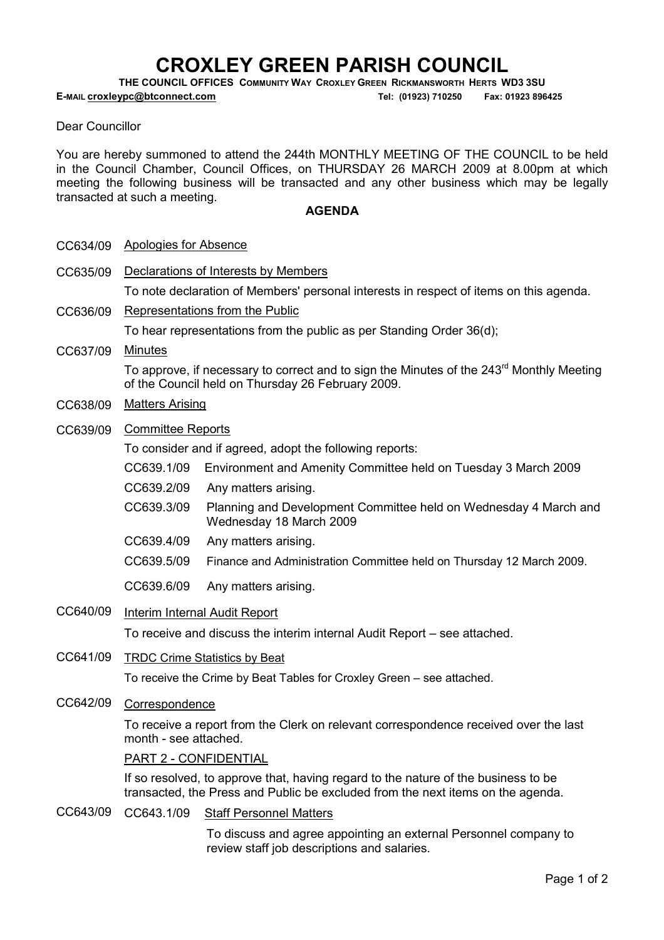# CROXLEY GREEN PARISH COUNCIL

THE COUNCIL OFFICES COMMUNITY WAY CROXLEY GREEN RICKMANSWORTH HERTS WD3 3SU

E-MAIL croxleypc@btconnect.com Tel: (01923) 710250 Fax: 01923 896425

#### Dear Councillor

You are hereby summoned to attend the 244th MONTHLY MEETING OF THE COUNCIL to be held in the Council Chamber, Council Offices, on THURSDAY 26 MARCH 2009 at 8.00pm at which meeting the following business will be transacted and any other business which may be legally transacted at such a meeting.

#### **AGENDA**

| CC634/09 | Apologies for Absence |  |
|----------|-----------------------|--|
|----------|-----------------------|--|

CC635/09 Declarations of Interests by Members

To note declaration of Members' personal interests in respect of items on this agenda.

CC636/09 Representations from the Public

To hear representations from the public as per Standing Order 36(d);

CC637/09 Minutes

To approve, if necessary to correct and to sign the Minutes of the 243<sup>rd</sup> Monthly Meeting of the Council held on Thursday 26 February 2009.

- CC638/09 Matters Arising
- CC639/09 Committee Reports

To consider and if agreed, adopt the following reports:

- CC639.1/09 Environment and Amenity Committee held on Tuesday 3 March 2009
- CC639.2/09 Any matters arising.
- CC639.3/09 Planning and Development Committee held on Wednesday 4 March and Wednesday 18 March 2009
- CC639.4/09 Any matters arising.
- CC639.5/09 Finance and Administration Committee held on Thursday 12 March 2009.
- CC639.6/09 Any matters arising.
- CC640/09 Interim Internal Audit Report

To receive and discuss the interim internal Audit Report – see attached.

CC641/09 TRDC Crime Statistics by Beat

To receive the Crime by Beat Tables for Croxley Green – see attached.

CC642/09 Correspondence

To receive a report from the Clerk on relevant correspondence received over the last month - see attached.

#### PART 2 - CONFIDENTIAL

If so resolved, to approve that, having regard to the nature of the business to be transacted, the Press and Public be excluded from the next items on the agenda.

CC643/09 CC643.1/09 Staff Personnel Matters

To discuss and agree appointing an external Personnel company to review staff job descriptions and salaries.